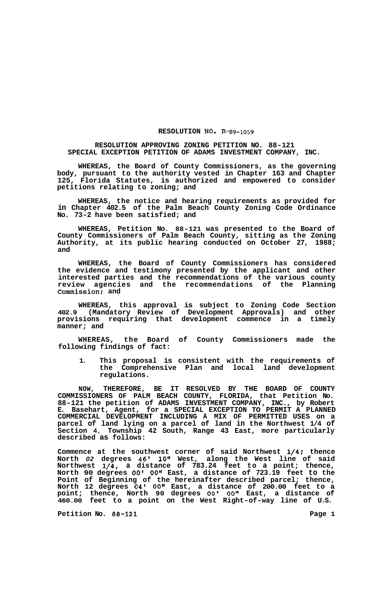## **RESOLUTION NO. R-89-1059**

## **RESOLUTION APPROVING ZONING PETITION NO. 88-121 SPECIAL EXCEPTION PETITION OF ADAMS INVESTMENT COMPANY, INC.**

**WHEREAS, the Board of County Commissioners, as the governing body, pursuant to the authority vested in Chapter 163 and Chapter 125, Florida Statutes, is authorized and empowered to consider petitions relating to zoning; and** 

**WHEREAS, the notice and hearing requirements as provided for in Chapter 402.5 of the Palm Beach County Zoning Code Ordinance No. 73-2 have been satisfied; and** 

**WHEREAS, Petition No. 88-121 was presented to the Board of County Commissioners of Palm Beach County, sitting as the Zoning Authority, at its public hearing conducted on October 27, 1988; and** 

**WHEREAS, the Board of County Commissioners has considered the evidence and testimony presented by the applicant and other interested parties and the recommendations of the various county review agencies and the recommendations of the Planning Commission; and** 

**WHEREAS, this approval is subject to Zoning Code Section 402.9 (Mandatory Review of Development Approvals) and other provisions requiring that development commence in a timely manner; and** 

**WHEREAS, the Board of County Commissioners made the following findings of fact:** 

**1. This proposal is consistent with the requirements of the Comprehensive Plan and local land development regulations.** 

**NOW, THEREFORE, BE IT RESOLVED BY THE BOARD OF COUNTY COMMISSIONERS OF PALM BEACH COUNTY, FLORIDA, that Petition No. 88-121 the petition of ADAMS INVESTMENT COMPANY, INC., by Robert E. Basehart, Agent, for a SPECIAL EXCEPTION TO PERMIT A PLANNED COMMERCIAL DEVELOPMENT INCLUDING A MIX OF PERMITTED USES on a parcel of land lying on a parcel of land in the Northwest 1/4 of Section 4, Township 42 South, Range 43 East, more particularly described as follows:** 

**Commence at the southwest corner of said Northwest 1/4; thence North** *02* **degrees 46' lot1 West, along the West line of said Northwest 1/4, a distance of 783.24 feet to a point; thence, North 90 degrees** *00'* **001' East, a distance of 723.19 feet to the Point of Beginning of the hereinafter described parcel; thence, North 12 degrees 04' 0O1' East, a distance of 200.00 feet to a point; thence, North 90 degrees** *00'* **0O1' East, a distance of 460.00 feet to a point on the West Right-of-way line of U.S.** 

**Petition No. 88-121 Page 1 Page 1**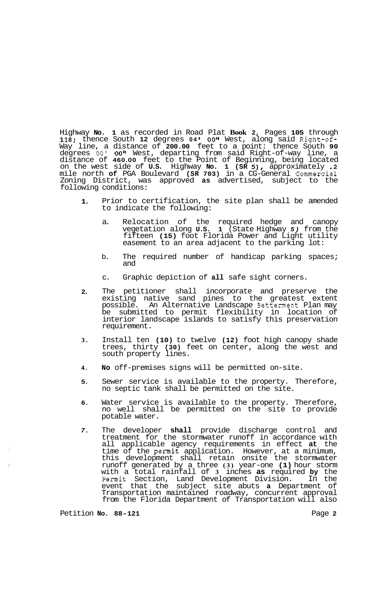Highway **No. 1** as recorded in Road Plat **Book 2,** Pages **105** through **118;** thence South **12** degrees **04 I OOlt** West, along said Right-of-Way line, a distance of **200.00** feet to a point: thence South **90**  degrees 00' 00" West, departing from said Right-of-way line, a distance of **460.00** feet to the Point of Beginning, being located on the west side of **U.S.** Highway **No. 1 (SR** *5),* approximately **.2**  mile north **of** PGA Boulevard **(SR 703)** in a CG-General Commercial Zoning District, was approved **as** advertised, subject to the following conditions:

- **1.**  Prior to certification, the site plan shall be amended to indicate the following:
	- a. Relocation of the required hedge and canopy vegetation along **U.S. 1** (State Highway *5)* from the fifteen **(15)** foot Florida Power and Light utility easement to an area adjacent to the parking lot:
	- b. The required number of handicap parking spaces; and
	- c. Graphic depiction of **all** safe sight corners.
- **2.**  The petitioner shall incorporate and preserve the existing native sand pines to the greatest extent possible. An Alternative Landscape Betterment Plan may be submitted to permit flexibility in location of interior landscape islands to satisfy this preservation requirement.
- **3.**  Install ten **(10)** to twelve **(12)** foot high canopy shade trees, thirty **(30)** feet on center, along the west and south property lines.
- **4. No** off-premises signs will be permitted on-site.
- **5.**  Sewer service is available to the property. Therefore, no septic tank shall be permitted on the site.
- **6.**  Water service is available to the property. Therefore, no well shall be permitted on the site to provide potable water.
- *7.*  The developer **shall** provide discharge control and treatment for the stormwater runoff in accordance with all applicable agency requirements in effect **at** the time of the permit application. However, at a minimum, this development shall retain onsite the stormwater runoff generated by a three **(3)** year-one **(1)** hour storm with a total rainfall of **3** inches **as** required **by** the Permit Section, Land Development Division. In the event that the subject site abuts **a** Department of Transportation maintained roadway, concurrent approval from the Florida Department of Transportation will also

Petition **NO. 88-121** Page **2**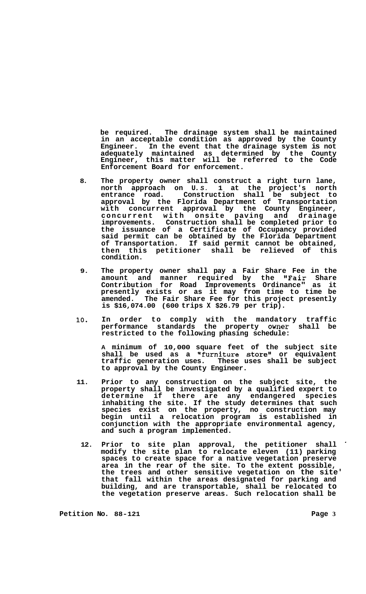**be required. The drainage system shall be maintained in an acceptable condition as approved by the County Engineer. In the event that the drainage system is not adequately maintained as determined by the County Engineer, this matter will be referred to the Code Enforcement Board for enforcement.** 

- **8. The property owner shall construct a right turn lane, north approach on U.** *S.* **1 at the project's north entrance road. Construction shall be subject to approval by the Florida Department of Transportation with concurrent approval by the County Engineer, concurrent with onsite paving and drainage improvements. Construction shall be completed prior to the issuance of a Certificate of Occupancy provided said permit can be obtained by the Florida Department of Transportation. If said permit cannot be obtained, then this petitioner shall be relieved of this condition.**
- **9. The property owner shall pay a Fair Share Fee in the amount and manner required by the "Fair Share Contribution for Road Improvements Ordinance" as it presently exists or as it may from time to time be amended. The Fair Share Fee for this project presently is \$16,074.00 (600 trips X \$26.79 per trip).**
- **lo. In order to comply with the mandatory traffic performance standards the property owner shall be restricted to the following phasing schedule:**

**A minimum of 10,000 square feet of the subject site shall be used as a "furniture store" or equivalent**  These uses shall be subject **to approval by the County Engineer.** 

- **11. Prior to any construction on the subject site, the property shall be investigated by a qualified expert to determine if there are any endangered species inhabiting the site. If the study determines that such species exist on the property, no construction may begin until a relocation program is established in conjunction with the appropriate environmental agency, and such a program implemented.** 
	- **12. Prior to site plan approval, the petitioner shall modify the site plan to relocate eleven (11) parking spaces to create space for a native vegetation preserve area in the rear of the site. To the extent possible, the trees and other sensitive vegetation on the site' that fall within the areas designated for parking and building, and are transportable, shall be relocated to the vegetation preserve areas. Such relocation shall be**

**Petition No.** 88-121 **Page 3**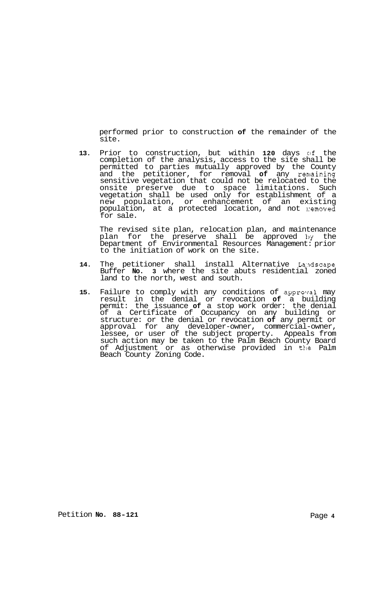performed prior to construction **of** the remainder of the site.

13. Prior to construction, but within 120 days of the completion of the analysis, access to the site shall be permitted to parties mutually approved by the County and the petitioner, for removal **of** any remaining sensitive vegetation that could not be relocated to the onsite preserve due to space limitations. Such vegetation shall be used only for establishment of a new population, or enhancement of an existing population, at a protected location, and not 1:emoved for sale.

The revised site plan, relocation plan, and maintenance plan for the preserve shall be approved **hy** the Department of Environmental Resources Management: prior to the initiation of work on the site.

- 14. The petitioner shall install Alternative Landscape Buffer **No. 3** where the site abuts residential zoned land to the north, west and south.
- **15.** Failure to comply with any conditions of approval may result in the denial or revocation **of** a building permit: the issuance **of** a stop work order: the denial of a Certificate of Occupancy on any building or structure: or the denial or revocation **of** any permit or approval for any developer-owner, commercial-owner, lessee, or user of the subject property. Appeals from such action may be taken to the Palm Beach County Board of Adjustment or as otherwise provided in the Palm Beach County Zoning Code.